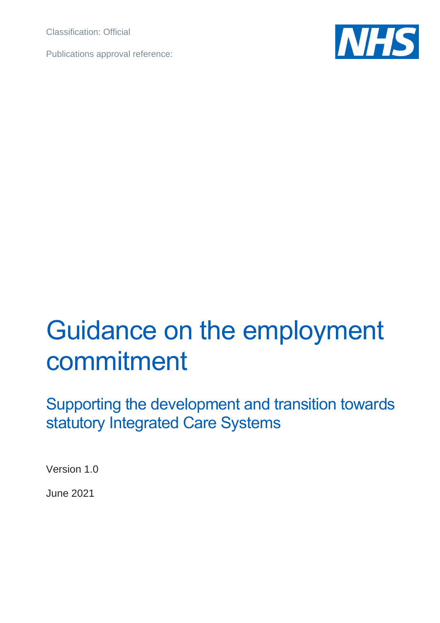Classification: Official

Publications approval reference:



# Guidance on the employment commitment

Supporting the development and transition towards statutory Integrated Care Systems

Version 1.0

June 2021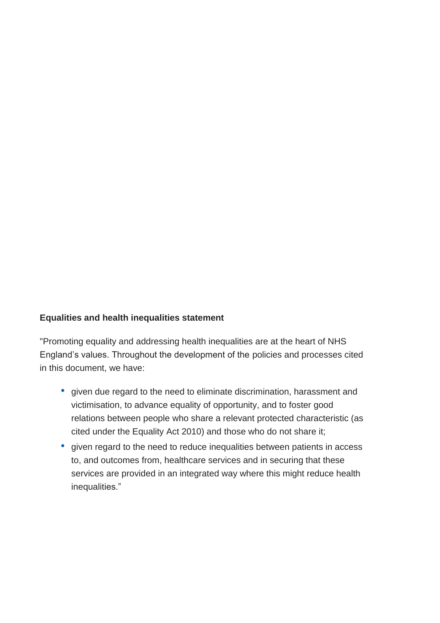#### **Equalities and health inequalities statement**

"Promoting equality and addressing health inequalities are at the heart of NHS England's values. Throughout the development of the policies and processes cited in this document, we have:

- given due regard to the need to eliminate discrimination, harassment and victimisation, to advance equality of opportunity, and to foster good relations between people who share a relevant protected characteristic (as cited under the Equality Act 2010) and those who do not share it;
- given regard to the need to reduce inequalities between patients in access to, and outcomes from, healthcare services and in securing that these services are provided in an integrated way where this might reduce health inequalities."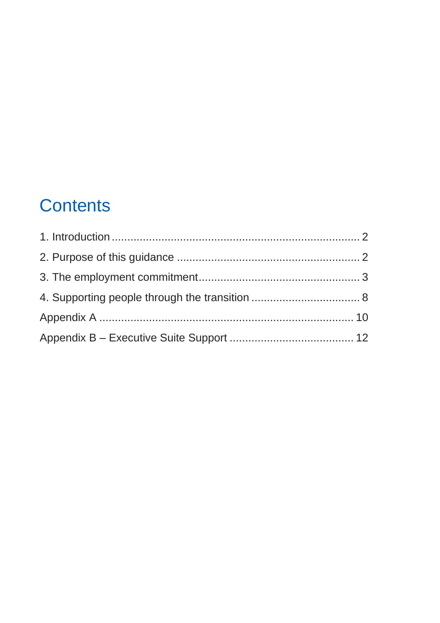## **Contents**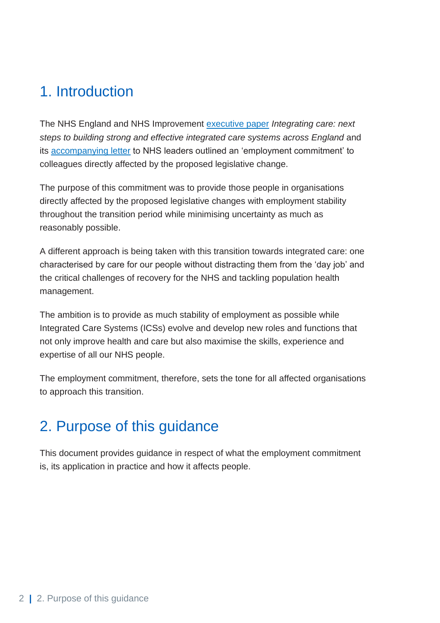## <span id="page-3-0"></span>1. Introduction

The NHS England and NHS Improvement [executive paper](https://www.england.nhs.uk/wp-content/uploads/2021/01/integrating-care-next-steps-to-building-strong-and-effective-integrated-care-systems.pdf) *Integrating care: next steps to building strong and effective integrated care systems across England* and its [accompanying letter](https://www.england.nhs.uk/wp-content/uploads/2021/02/C1127-integrated-care-systems-next-steps-letter.pdf) to NHS leaders outlined an 'employment commitment' to colleagues directly affected by the proposed legislative change.

The purpose of this commitment was to provide those people in organisations directly affected by the proposed legislative changes with employment stability throughout the transition period while minimising uncertainty as much as reasonably possible.

A different approach is being taken with this transition towards integrated care: one characterised by care for our people without distracting them from the 'day job' and the critical challenges of recovery for the NHS and tackling population health management.

The ambition is to provide as much stability of employment as possible while Integrated Care Systems (ICSs) evolve and develop new roles and functions that not only improve health and care but also maximise the skills, experience and expertise of all our NHS people.

The employment commitment, therefore, sets the tone for all affected organisations to approach this transition.

## <span id="page-3-1"></span>2. Purpose of this guidance

This document provides guidance in respect of what the employment commitment is, its application in practice and how it affects people.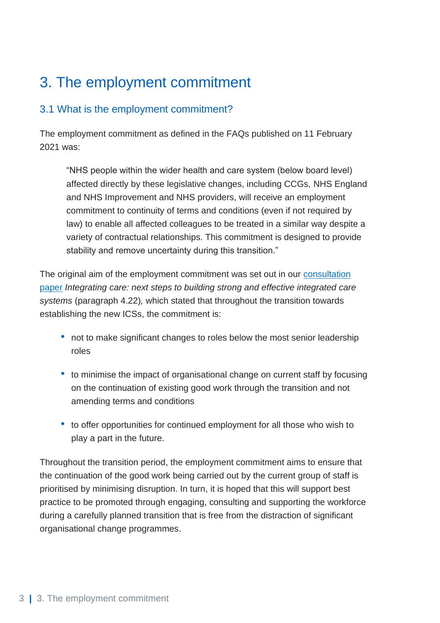## <span id="page-4-0"></span>3. The employment commitment

#### 3.1 What is the employment commitment?

The employment commitment as defined in the FAQs published on 11 February 2021 was:

"NHS people within the wider health and care system (below board level) affected directly by these legislative changes, including CCGs, NHS England and NHS Improvement and NHS providers, will receive an employment commitment to continuity of terms and conditions (even if not required by law) to enable all affected colleagues to be treated in a similar way despite a variety of contractual relationships. This commitment is designed to provide stability and remove uncertainty during this transition."

The original aim of the employment commitment was set out in our [consultation](https://www.england.nhs.uk/wp-content/uploads/2021/01/integrating-care-next-steps-to-building-strong-and-effective-integrated-care-systems.pdf)  [paper](https://www.england.nhs.uk/wp-content/uploads/2021/01/integrating-care-next-steps-to-building-strong-and-effective-integrated-care-systems.pdf) *Integrating care: next steps to building strong and effective integrated care systems* (paragraph 4.22)*,* which stated that throughout the transition towards establishing the new ICSs, the commitment is:

- not to make significant changes to roles below the most senior leadership roles
- to minimise the impact of organisational change on current staff by focusing on the continuation of existing good work through the transition and not amending terms and conditions
- to offer opportunities for continued employment for all those who wish to play a part in the future.

Throughout the transition period, the employment commitment aims to ensure that the continuation of the good work being carried out by the current group of staff is prioritised by minimising disruption. In turn, it is hoped that this will support best practice to be promoted through engaging, consulting and supporting the workforce during a carefully planned transition that is free from the distraction of significant organisational change programmes.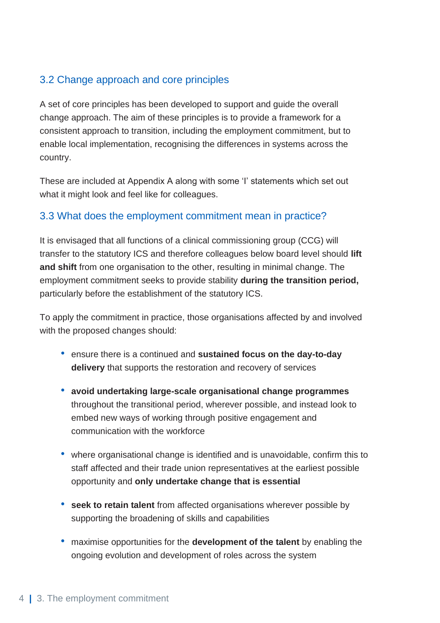#### 3.2 Change approach and core principles

A set of core principles has been developed to support and guide the overall change approach. The aim of these principles is to provide a framework for a consistent approach to transition, including the employment commitment, but to enable local implementation, recognising the differences in systems across the country.

These are included at Appendix A along with some 'I' statements which set out what it might look and feel like for colleagues.

#### 3.3 What does the employment commitment mean in practice?

It is envisaged that all functions of a clinical commissioning group (CCG) will transfer to the statutory ICS and therefore colleagues below board level should **lift and shift** from one organisation to the other, resulting in minimal change. The employment commitment seeks to provide stability **during the transition period,** particularly before the establishment of the statutory ICS.

To apply the commitment in practice, those organisations affected by and involved with the proposed changes should:

- ensure there is a continued and **sustained focus on the day-to-day delivery** that supports the restoration and recovery of services
- **avoid undertaking large-scale organisational change programmes** throughout the transitional period, wherever possible, and instead look to embed new ways of working through positive engagement and communication with the workforce
- where organisational change is identified and is unavoidable, confirm this to staff affected and their trade union representatives at the earliest possible opportunity and **only undertake change that is essential**
- **seek to retain talent** from affected organisations wherever possible by supporting the broadening of skills and capabilities
- maximise opportunities for the **development of the talent** by enabling the ongoing evolution and development of roles across the system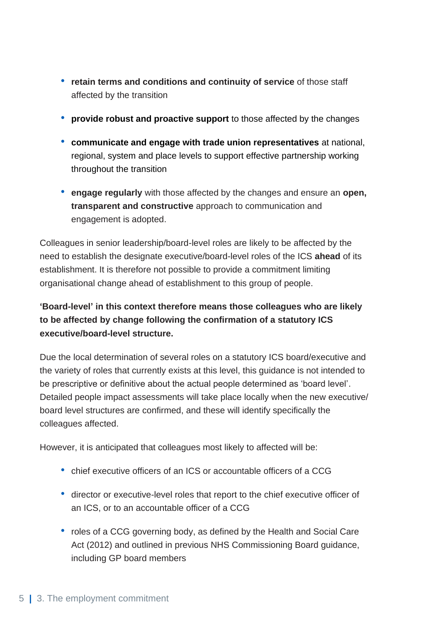- **retain terms and conditions and continuity of service** of those staff affected by the transition
- **provide robust and proactive support** to those affected by the changes
- **communicate and engage with trade union representatives** at national, regional, system and place levels to support effective partnership working throughout the transition
- **engage regularly** with those affected by the changes and ensure an **open, transparent and constructive** approach to communication and engagement is adopted.

Colleagues in senior leadership/board-level roles are likely to be affected by the need to establish the designate executive/board-level roles of the ICS **ahead** of its establishment. It is therefore not possible to provide a commitment limiting organisational change ahead of establishment to this group of people.

#### **'Board-level' in this context therefore means those colleagues who are likely to be affected by change following the confirmation of a statutory ICS executive/board-level structure.**

Due the local determination of several roles on a statutory ICS board/executive and the variety of roles that currently exists at this level, this guidance is not intended to be prescriptive or definitive about the actual people determined as 'board level'. Detailed people impact assessments will take place locally when the new executive/ board level structures are confirmed, and these will identify specifically the colleagues affected.

However, it is anticipated that colleagues most likely to affected will be:

- chief executive officers of an ICS or accountable officers of a CCG
- director or executive-level roles that report to the chief executive officer of an ICS, or to an accountable officer of a CCG
- roles of a CCG governing body, as defined by the Health and Social Care Act (2012) and outlined in previous NHS Commissioning Board guidance, including GP board members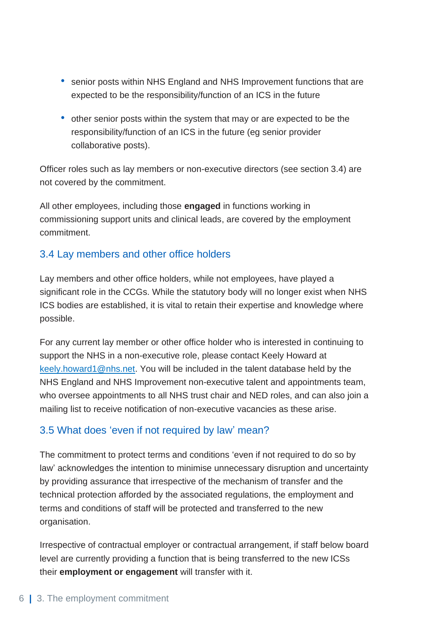- senior posts within NHS England and NHS Improvement functions that are expected to be the responsibility/function of an ICS in the future
- other senior posts within the system that may or are expected to be the responsibility/function of an ICS in the future (eg senior provider collaborative posts).

Officer roles such as lay members or non-executive directors (see section 3.4) are not covered by the commitment.

All other employees, including those **engaged** in functions working in commissioning support units and clinical leads, are covered by the employment commitment.

#### 3.4 Lay members and other office holders

Lay members and other office holders, while not employees, have played a significant role in the CCGs. While the statutory body will no longer exist when NHS ICS bodies are established, it is vital to retain their expertise and knowledge where possible.

For any current lay member or other office holder who is interested in continuing to support the NHS in a non-executive role, please contact Keely Howard at [keely.howard1@nhs.net.](mailto:keely.howard1@nhs.net) You will be included in the talent database held by the NHS England and NHS Improvement non-executive talent and appointments team, who oversee appointments to all NHS trust chair and NED roles, and can also join a mailing list to receive notification of non-executive vacancies as these arise.

#### 3.5 What does 'even if not required by law' mean?

The commitment to protect terms and conditions 'even if not required to do so by law' acknowledges the intention to minimise unnecessary disruption and uncertainty by providing assurance that irrespective of the mechanism of transfer and the technical protection afforded by the associated regulations, the employment and terms and conditions of staff will be protected and transferred to the new organisation.

Irrespective of contractual employer or contractual arrangement, if staff below board level are currently providing a function that is being transferred to the new ICSs their **employment or engagement** will transfer with it.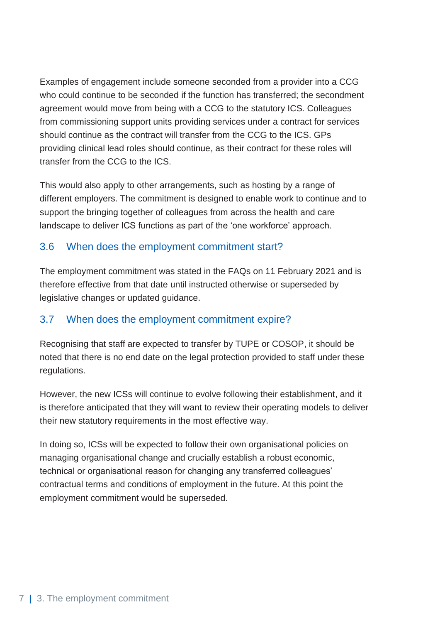Examples of engagement include someone seconded from a provider into a CCG who could continue to be seconded if the function has transferred; the secondment agreement would move from being with a CCG to the statutory ICS. Colleagues from commissioning support units providing services under a contract for services should continue as the contract will transfer from the CCG to the ICS. GPs providing clinical lead roles should continue, as their contract for these roles will transfer from the CCG to the ICS.

This would also apply to other arrangements, such as hosting by a range of different employers. The commitment is designed to enable work to continue and to support the bringing together of colleagues from across the health and care landscape to deliver ICS functions as part of the 'one workforce' approach.

#### 3.6 When does the employment commitment start?

The employment commitment was stated in the FAQs on 11 February 2021 and is therefore effective from that date until instructed otherwise or superseded by legislative changes or updated guidance.

#### 3.7 When does the employment commitment expire?

Recognising that staff are expected to transfer by TUPE or COSOP, it should be noted that there is no end date on the legal protection provided to staff under these regulations.

However, the new ICSs will continue to evolve following their establishment, and it is therefore anticipated that they will want to review their operating models to deliver their new statutory requirements in the most effective way.

In doing so, ICSs will be expected to follow their own organisational policies on managing organisational change and crucially establish a robust economic, technical or organisational reason for changing any transferred colleagues' contractual terms and conditions of employment in the future. At this point the employment commitment would be superseded.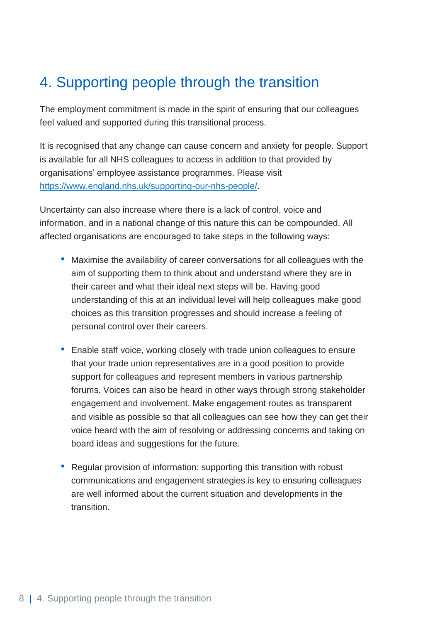## <span id="page-9-0"></span>4. Supporting people through the transition

The employment commitment is made in the spirit of ensuring that our colleagues feel valued and supported during this transitional process.

It is recognised that any change can cause concern and anxiety for people. Support is available for all NHS colleagues to access in addition to that provided by organisations' employee assistance programmes. Please visit [https://www.england.nhs.uk/supporting-our-nhs-people/.](https://www.england.nhs.uk/supporting-our-nhs-people/)

Uncertainty can also increase where there is a lack of control, voice and information, and in a national change of this nature this can be compounded. All affected organisations are encouraged to take steps in the following ways:

- Maximise the availability of career conversations for all colleagues with the aim of supporting them to think about and understand where they are in their career and what their ideal next steps will be. Having good understanding of this at an individual level will help colleagues make good choices as this transition progresses and should increase a feeling of personal control over their careers.
- Enable staff voice, working closely with trade union colleagues to ensure that your trade union representatives are in a good position to provide support for colleagues and represent members in various partnership forums. Voices can also be heard in other ways through strong stakeholder engagement and involvement. Make engagement routes as transparent and visible as possible so that all colleagues can see how they can get their voice heard with the aim of resolving or addressing concerns and taking on board ideas and suggestions for the future.
- Regular provision of information: supporting this transition with robust communications and engagement strategies is key to ensuring colleagues are well informed about the current situation and developments in the transition.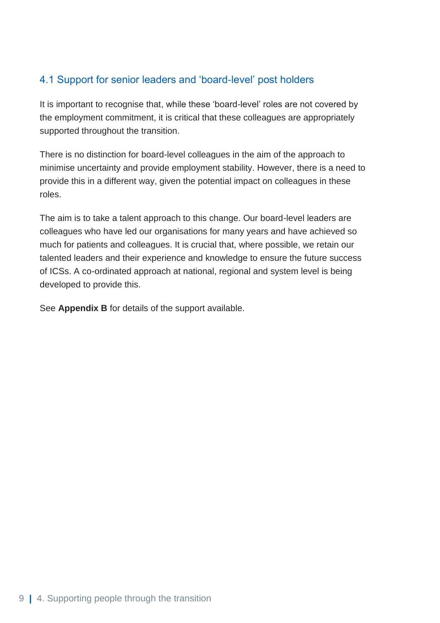#### 4.1 Support for senior leaders and 'board-level' post holders

It is important to recognise that, while these 'board-level' roles are not covered by the employment commitment, it is critical that these colleagues are appropriately supported throughout the transition.

There is no distinction for board-level colleagues in the aim of the approach to minimise uncertainty and provide employment stability. However, there is a need to provide this in a different way, given the potential impact on colleagues in these roles.

The aim is to take a talent approach to this change. Our board-level leaders are colleagues who have led our organisations for many years and have achieved so much for patients and colleagues. It is crucial that, where possible, we retain our talented leaders and their experience and knowledge to ensure the future success of ICSs. A co-ordinated approach at national, regional and system level is being developed to provide this.

See **Appendix B** for details of the support available.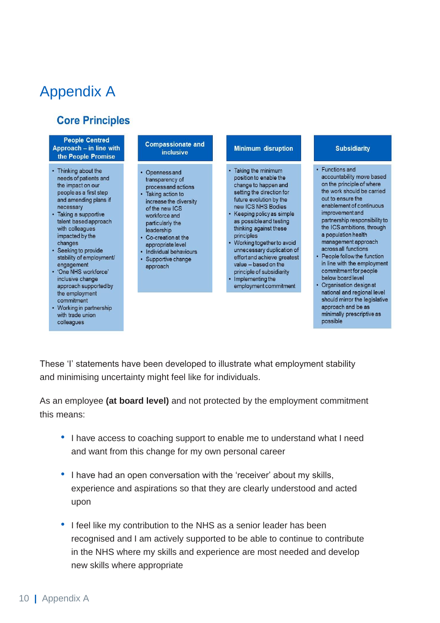## <span id="page-11-0"></span>Appendix A

#### **Core Principles**

#### **People Centred** Approach – in line with the People Promise

- Thinking about the needs of patients and the impact on our people as a first step and amending plans if necessary
- Taking a supportive talent based approach with colleagues impacted by the changes
- Seeking to provide stability of employment/ engagement
- 'One NHS workforce' inclusive change approach supported by the employment commitment
- Working in partnership with trade union colleagues

#### **Compassionate and inclusive**

- Openness and transparency of process and actions • Taking action to increase the diversity of the new ICS workforce and particularly the leadership
- Co-creation at the appropriate level
- Individual behaviours · Supportive change
- approach

#### **Minimum disruption**

- Taking the minimum position to enable the change to happen and setting the direction for future evolution by the new ICS NHS Bodies • Keeping policy as simple
- as possible and testing thinking against these principles
- Working together to avoid unnecessary duplication of effort and achieve greatest value - based on the principle of subsidiarity
- Implementing the employment commitment

#### **Subsidiarity**

- Functions and accountability move based on the principle of where the work should be carried out to ensure the enablement of continuous improvement and partnership responsibility to the ICS ambitions, through a population health management approach across all functions
- People follow the function in line with the employment commitment for people below board level
- Organisation design at national and regional level should mirror the legislative approach and be as minimally prescriptive as possible

These 'I' statements have been developed to illustrate what employment stability and minimising uncertainty might feel like for individuals.

As an employee **(at board level)** and not protected by the employment commitment this means:

- I have access to coaching support to enable me to understand what I need and want from this change for my own personal career
- I have had an open conversation with the 'receiver' about my skills, experience and aspirations so that they are clearly understood and acted upon
- I feel like my contribution to the NHS as a senior leader has been recognised and I am actively supported to be able to continue to contribute in the NHS where my skills and experience are most needed and develop new skills where appropriate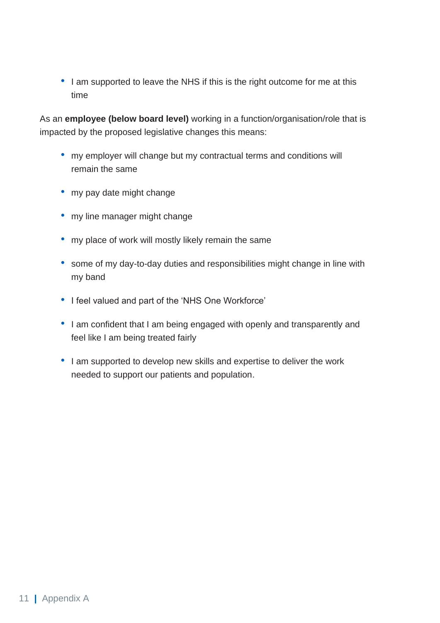• I am supported to leave the NHS if this is the right outcome for me at this time

As an **employee (below board level)** working in a function/organisation/role that is impacted by the proposed legislative changes this means:

- my employer will change but my contractual terms and conditions will remain the same
- my pay date might change
- my line manager might change
- my place of work will mostly likely remain the same
- some of my day-to-day duties and responsibilities might change in line with my band
- I feel valued and part of the 'NHS One Workforce'
- I am confident that I am being engaged with openly and transparently and feel like I am being treated fairly
- I am supported to develop new skills and expertise to deliver the work needed to support our patients and population.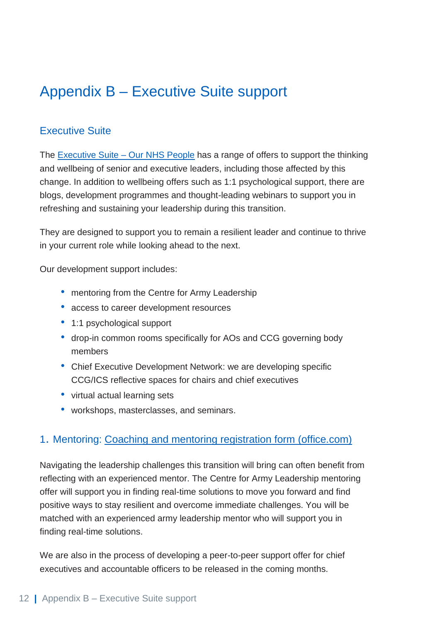## <span id="page-13-0"></span>Appendix B – Executive Suite support

#### Executive Suite

The [Executive Suite –](https://people.nhs.uk/executivesuite/) Our NHS People has a range of offers to support the thinking and wellbeing of senior and executive leaders, including those affected by this change. In addition to wellbeing offers such as 1:1 psychological support, there are blogs, development programmes and thought-leading webinars to support you in refreshing and sustaining your leadership during this transition.

They are designed to support you to remain a resilient leader and continue to thrive in your current role while looking ahead to the next.

Our development support includes:

- mentoring from the Centre for Army Leadership
- access to career development resources
- 1:1 psychological support
- drop-in common rooms specifically for AOs and CCG governing body members
- Chief Executive Development Network: we are developing specific CCG/ICS reflective spaces for chairs and chief executives
- virtual actual learning sets
- workshops, masterclasses, and seminars.

#### 1. Mentoring: [Coaching and mentoring registration form \(office.com\)](https://forms.office.com/Pages/ResponsePage.aspx?id=kp4VA8ZyI0umSq9Q55Ctvx6lcUu77fpAq6AIa7TvZW5UOFdVWkpQMFhWWlVFNlY3SUVHWkI1NkIzMy4u)

Navigating the leadership challenges this transition will bring can often benefit from reflecting with an experienced mentor. The Centre for Army Leadership mentoring offer will support you in finding real-time solutions to move you forward and find positive ways to stay resilient and overcome immediate challenges. You will be matched with an experienced army leadership mentor who will support you in finding real-time solutions.

We are also in the process of developing a peer-to-peer support offer for chief executives and accountable officers to be released in the coming months.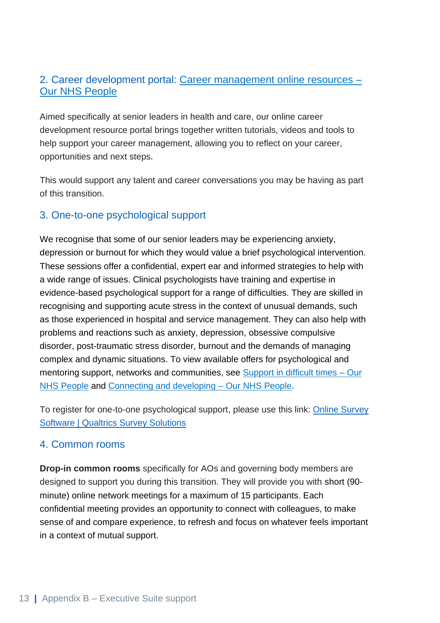#### 2. Career development portal: [Career management online resources –](https://people.nhs.uk/executivesuite/connecting-and-networks/connecting-career-management-online-resources/) [Our NHS People](https://people.nhs.uk/executivesuite/connecting-and-networks/connecting-career-management-online-resources/)

Aimed specifically at senior leaders in health and care, our online career development resource portal brings together written tutorials, videos and tools to help support your career management, allowing you to reflect on your career, opportunities and next steps.

This would support any talent and career conversations you may be having as part of this transition.

#### 3. One-to-one psychological support

We recognise that some of our senior leaders may be experiencing anxiety, depression or burnout for which they would value a brief psychological intervention. These sessions offer a confidential, expert ear and informed strategies to help with a wide range of issues. Clinical psychologists have training and expertise in evidence-based psychological support for a range of difficulties. They are skilled in recognising and supporting acute stress in the context of unusual demands, such as those experienced in hospital and service management. They can also help with problems and reactions such as anxiety, depression, obsessive compulsive disorder, post-traumatic stress disorder, burnout and the demands of managing complex and dynamic situations. To view available offers for psychological and mentoring support, networks and communities, see [Support in difficult times –](https://people.nhs.uk/executivesuite/support-in-difficult-times/) Our [NHS People](https://people.nhs.uk/executivesuite/support-in-difficult-times/) and [Connecting and developing –](https://people.nhs.uk/executivesuite/connecting-and-developing/) Our NHS People.

To register for one-to-one psychological support, please use this link: [Online Survey](https://clinicalpsychogists.eu.qualtrics.com/jfe/form/SV_b1NNws1cZ5tMeMJ)  [Software | Qualtrics Survey Solutions](https://clinicalpsychogists.eu.qualtrics.com/jfe/form/SV_b1NNws1cZ5tMeMJ)

#### 4. Common rooms

**Drop-in common rooms** specifically for AOs and governing body members are designed to support you during this transition. They will provide you with short (90 minute) online network meetings for a maximum of 15 participants. Each confidential meeting provides an opportunity to connect with colleagues, to make sense of and compare experience, to refresh and focus on whatever feels important in a context of mutual support.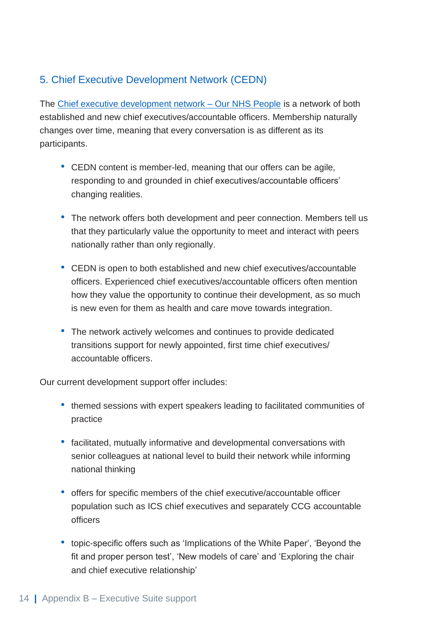#### 5. Chief Executive Development Network (CEDN)

The [Chief executive development network –](https://people.nhs.uk/executivesuite/connecting-and-developing/connecting-chief-executive-development-network/) Our NHS People is a network of both established and new chief executives/accountable officers. Membership naturally changes over time, meaning that every conversation is as different as its participants.

- CEDN content is member-led, meaning that our offers can be agile, responding to and grounded in chief executives/accountable officers' changing realities.
- The network offers both development and peer connection. Members tell us that they particularly value the opportunity to meet and interact with peers nationally rather than only regionally.
- CEDN is open to both established and new chief executives/accountable officers. Experienced chief executives/accountable officers often mention how they value the opportunity to continue their development, as so much is new even for them as health and care move towards integration.
- The network actively welcomes and continues to provide dedicated transitions support for newly appointed, first time chief executives/ accountable officers.

Our current development support offer includes:

- themed sessions with expert speakers leading to facilitated communities of practice
- facilitated, mutually informative and developmental conversations with senior colleagues at national level to build their network while informing national thinking
- offers for specific members of the chief executive/accountable officer population such as ICS chief executives and separately CCG accountable officers
- topic-specific offers such as 'Implications of the White Paper', 'Beyond the fit and proper person test', 'New models of care' and 'Exploring the chair and chief executive relationship'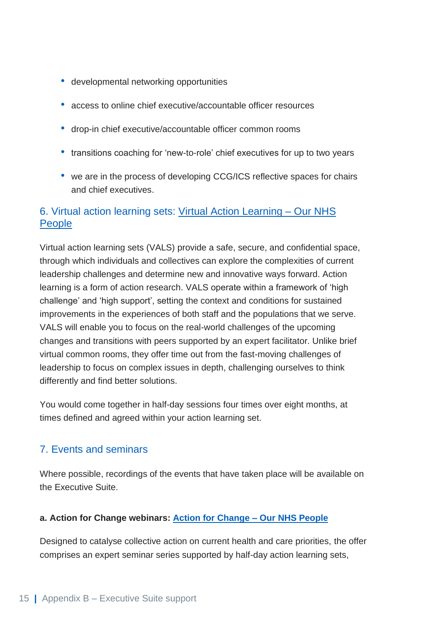- developmental networking opportunities
- access to online chief executive/accountable officer resources
- drop-in chief executive/accountable officer common rooms
- transitions coaching for 'new-to-role' chief executives for up to two years
- we are in the process of developing CCG/ICS reflective spaces for chairs and chief executives.

#### 6. Virtual action learning sets: [Virtual Action Learning –](https://people.nhs.uk/executivesuite/connecting-and-developing/connecting-virtual-action-learning/) Our NHS [People](https://people.nhs.uk/executivesuite/connecting-and-developing/connecting-virtual-action-learning/)

Virtual action learning sets (VALS) provide a safe, secure, and confidential space, through which individuals and collectives can explore the complexities of current leadership challenges and determine new and innovative ways forward. Action learning is a form of action research. VALS operate within a framework of 'high challenge' and 'high support', setting the context and conditions for sustained improvements in the experiences of both staff and the populations that we serve. VALS will enable you to focus on the real-world challenges of the upcoming changes and transitions with peers supported by an expert facilitator. Unlike brief virtual common rooms, they offer time out from the fast-moving challenges of leadership to focus on complex issues in depth, challenging ourselves to think differently and find better solutions.

You would come together in half-day sessions four times over eight months, at times defined and agreed within your action learning set.

#### 7. Events and seminars

Where possible, recordings of the events that have taken place will be available on the Executive Suite.

#### **a. Action for Change webinars: [Action for Change –](https://people.nhs.uk/executivesuite/connecting-and-developing/connecting-action-for-change/) Our NHS People**

Designed to catalyse collective action on current health and care priorities, the offer comprises an expert seminar series supported by half-day action learning sets,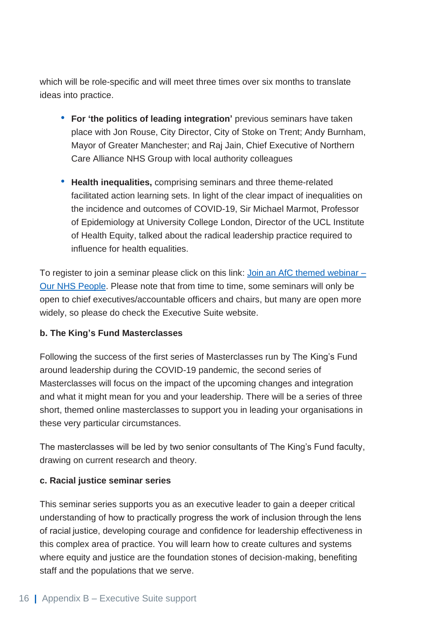which will be role-specific and will meet three times over six months to translate ideas into practice.

- **For 'the politics of leading integration'** previous seminars have taken place with Jon Rouse, City Director, City of Stoke on Trent; Andy Burnham, Mayor of Greater Manchester; and Raj Jain, Chief Executive of Northern Care Alliance NHS Group with local authority colleagues
- **Health inequalities,** comprising seminars and three theme-related facilitated action learning sets. In light of the clear impact of inequalities on the incidence and outcomes of COVID-19, Sir Michael Marmot, Professor of Epidemiology at University College London, Director of the UCL Institute of Health Equity, talked about the radical leadership practice required to influence for health equalities.

To register to join a seminar please click on this link: [Join an AfC themed webinar –](https://people.nhs.uk/executivesuite-old/connecting-and-developing-old/join-an-afc-themed-webinar/) [Our NHS People.](https://people.nhs.uk/executivesuite-old/connecting-and-developing-old/join-an-afc-themed-webinar/) Please note that from time to time, some seminars will only be open to chief executives/accountable officers and chairs, but many are open more widely, so please do check the Executive Suite website.

#### **b. The King's Fund Masterclasses**

Following the success of the first series of Masterclasses run by The King's Fund around leadership during the COVID-19 pandemic, the second series of Masterclasses will focus on the impact of the upcoming changes and integration and what it might mean for you and your leadership. There will be a series of three short, themed online masterclasses to support you in leading your organisations in these very particular circumstances.

The masterclasses will be led by two senior consultants of The King's Fund faculty, drawing on current research and theory.

#### **c. Racial justice seminar series**

This seminar series supports you as an executive leader to gain a deeper critical understanding of how to practically progress the work of inclusion through the lens of racial justice, developing courage and confidence for leadership effectiveness in this complex area of practice. You will learn how to create cultures and systems where equity and justice are the foundation stones of decision-making, benefiting staff and the populations that we serve.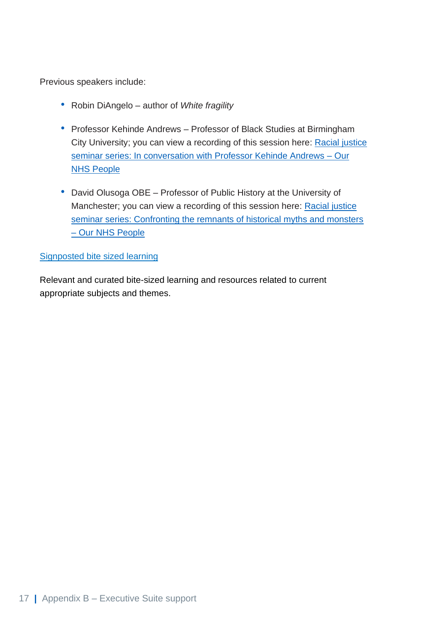Previous speakers include:

- Robin DiAngelo author of *White fragility*
- Professor Kehinde Andrews Professor of Black Studies at Birmingham City University; you can view a recording of this session here: [Racial justice](https://people.nhs.uk/executivesuite/wms/beginning-with-racial-justice-seminar2/)  [seminar series: In conversation with Professor Kehinde Andrews –](https://people.nhs.uk/executivesuite/wms/beginning-with-racial-justice-seminar2/) Our [NHS People](https://people.nhs.uk/executivesuite/wms/beginning-with-racial-justice-seminar2/)
- David Olusoga OBE Professor of Public History at the University of Manchester; you can view a recording of this session here: Racial justice [seminar series: Confronting the remnants of historical myths and monsters](https://people.nhs.uk/executivesuite/wms/racial-justice-seminar-series-confronting-myths-and-monsters/)  – [Our NHS People](https://people.nhs.uk/executivesuite/wms/racial-justice-seminar-series-confronting-myths-and-monsters/)

#### [Signposted bite sized learning](https://people.nhs.uk/executivesuite/resources/)

Relevant and curated bite-sized learning and resources related to current appropriate subjects and themes.